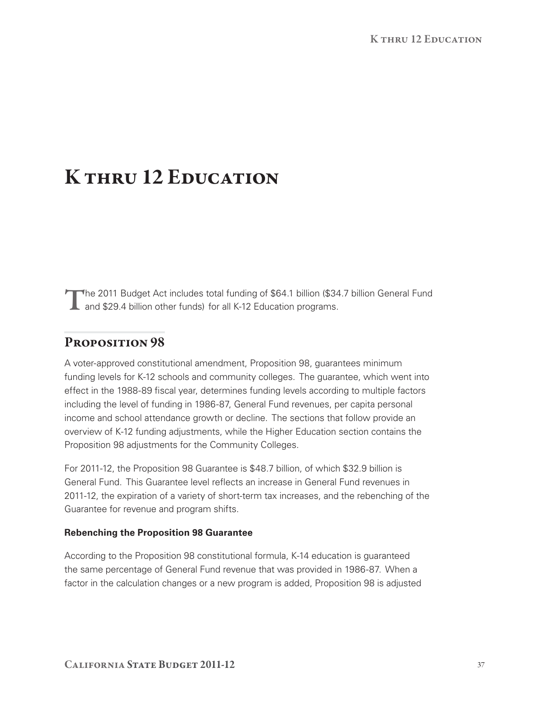#### K THRU 12 EDUCATION

The 2011 Budget Act includes total funding of \$64.1 billion (\$34.7 billion General Fund<br>and \$29.4 billion other funds) for all K-12 Education programs. and \$29.4 billion other funds) for all K‑12 Education programs.

# PROPOSITION 98

 A voter‑approved constitutional amendment, Proposition 98, guarantees minimum funding levels for K‑12 schools and community colleges. The guarantee, which went into effect in the 1988‑89 fiscal year, determines funding levels according to multiple factors including the level of funding in 1986‑87, General Fund revenues, per capita personal income and school attendance growth or decline. The sections that follow provide an overview of K‑12 funding adjustments, while the Higher Education section contains the Proposition 98 adjustments for the Community Colleges.

For 2011-12, the Proposition 98 Guarantee is \$48.7 billion, of which \$32.9 billion is General Fund. This Guarantee level reflects an increase in General Fund revenues in 2011-12, the expiration of a variety of short-term tax increases, and the rebenching of the Guarantee for revenue and program shifts.

#### **Rebenching the Proposition 98 Guarantee**

 According to the Proposition 98 constitutional formula, K‑14 education is guaranteed the same percentage of General Fund revenue that was provided in 1986‑87. When a factor in the calculation changes or a new program is added, Proposition 98 is adjusted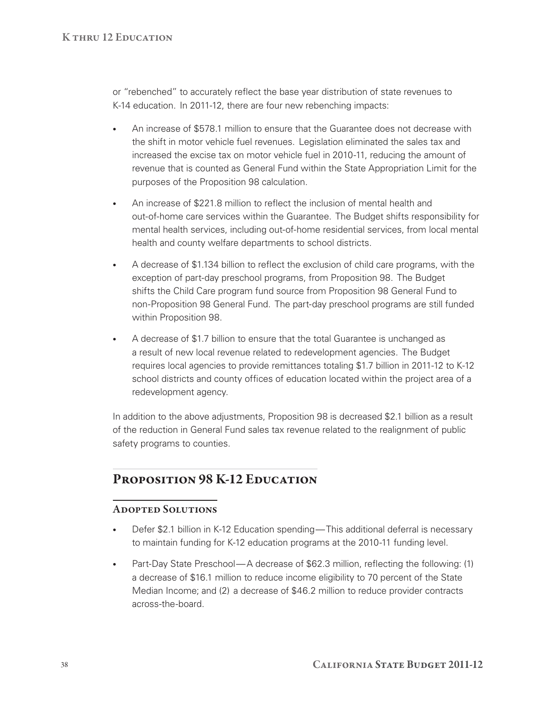or "rebenched" to accurately reflect the base year distribution of state revenues to K-14 education. In 2011-12, there are four new rebenching impacts:

- An increase of \$578.1 million to ensure that the Guarantee does not decrease with the shift in motor vehicle fuel revenues. Legislation eliminated the sales tax and increased the excise tax on motor vehicle fuel in 2010-11, reducing the amount of revenue that is counted as General Fund within the State Appropriation Limit for the purposes of the Proposition 98 calculation.
- An increase of \$221.8 million to reflect the inclusion of mental health and out-of-home care services within the Guarantee. The Budget shifts responsibility for mental health services, including out‑of‑home residential services, from local mental health and county welfare departments to school districts.
- • A decrease of \$1.134 billion to reflect the exclusion of child care programs, with the exception of part-day preschool programs, from Proposition 98. The Budget shifts the Child Care program fund source from Proposition 98 General Fund to non‑Proposition 98 General Fund. The part‑day preschool programs are still funded within Proposition 98.
- • A decrease of \$1.7 billion to ensure that the total Guarantee is unchanged as a result of new local revenue related to redevelopment agencies. The Budget requires local agencies to provide remittances totaling \$1.7 billion in 2011‑12 to K‑12 school districts and county offices of education located within the project area of a redevelopment agency.

 In addition to the above adjustments, Proposition 98 is decreased \$2.1 billion as a result of the reduction in General Fund sales tax revenue related to the realignment of public safety programs to counties.

# PROPOSITION 98 K-12 EDUCATION

#### Adopted Solutions

- Defer \$2.1 billion in K-12 Education spending—This additional deferral is necessary to maintain funding for K-12 education programs at the 2010-11 funding level.
- Part-Day State Preschool—A decrease of \$62.3 million, reflecting the following: (1) a decrease of \$16.1 million to reduce income eligibility to 70 percent of the State Median Income; and (2) a decrease of \$46.2 million to reduce provider contracts across-the-board.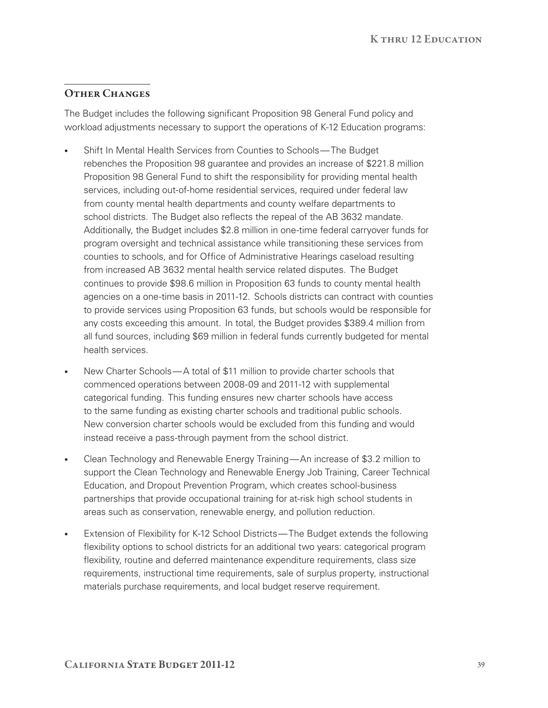## OTHER CHANGES

 The Budget includes the following significant Proposition 98 General Fund policy and workload adjustments necessary to support the operations of K‑12 Education programs:

- • Shift In Mental Health Services from Counties to Schools—The Budget rebenches the Proposition 98 guarantee and provides an increase of \$221.8 million Proposition 98 General Fund to shift the responsibility for providing mental health services, including out-of-home residential services, required under federal law from county mental health departments and county welfare departments to school districts. The Budget also reflects the repeal of the AB 3632 mandate. Additionally, the Budget includes \$2.8 million in one‑time federal carryover funds for program oversight and technical assistance while transitioning these services from counties to schools, and for Office of Administrative Hearings caseload resulting from increased AB 3632 mental health service related disputes. The Budget continues to provide \$98.6 million in Proposition 63 funds to county mental health agencies on a one-time basis in 2011-12. Schools districts can contract with counties to provide services using Proposition 63 funds, but schools would be responsible for any costs exceeding this amount. In total, the Budget provides \$389.4 million from all fund sources, including \$69 million in federal funds currently budgeted for mental health services.
- New Charter Schools—A total of \$11 million to provide charter schools that commenced operations between 2008‑09 and 2011‑12 with supplemental categorical funding. This funding ensures new charter schools have access to the same funding as existing charter schools and traditional public schools. New conversion charter schools would be excluded from this funding and would instead receive a pass‑through payment from the school district.
- • Clean Technology and Renewable Energy Training—An increase of \$3.2 million to support the Clean Technology and Renewable Energy Job Training, Career Technical Education, and Dropout Prevention Program, which creates school‑business partnerships that provide occupational training for at-risk high school students in areas such as conservation, renewable energy, and pollution reduction.  $\bullet$
- • Extension of Flexibility for K‑12 School Districts—The Budget extends the following flexibility options to school districts for an additional two years: categorical program flexibility, routine and deferred maintenance expenditure requirements, class size requirements, instructional time requirements, sale of surplus property, instructional materials purchase requirements, and local budget reserve requirement.  $\bullet$